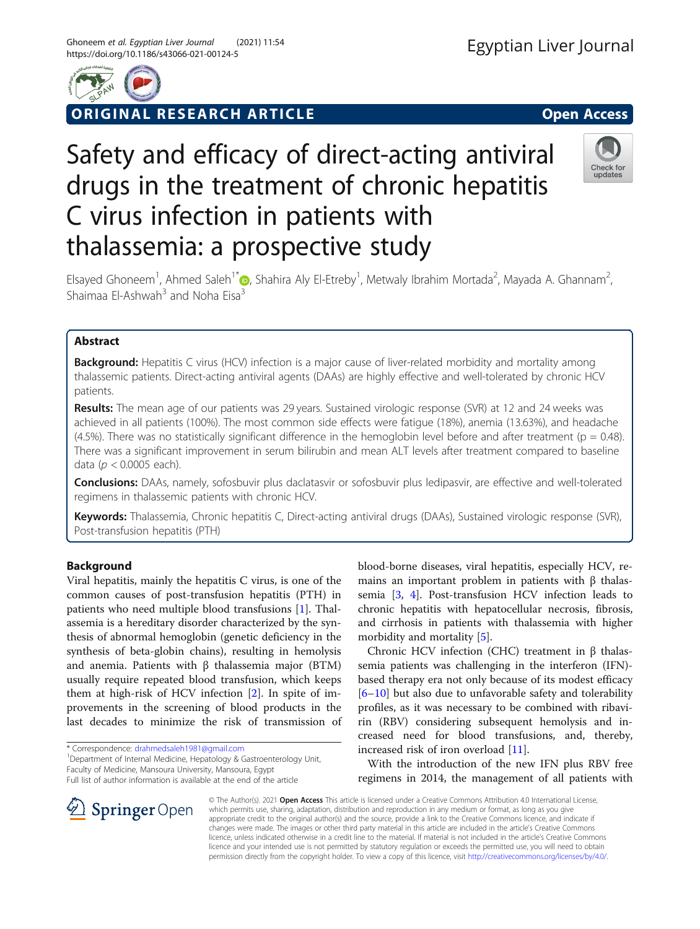

ORIGINAL RESEARCH ARTICLE **Solution Contract Contract Contract Contract Contract Contract Contract Contract Contract Contract Contract Contract Contract Contract Contract Contract Contract Contract Contract Contract Contra** 

# Safety and efficacy of direct-acting antiviral drugs in the treatment of chronic hepatitis C virus infection in patients with thalassemia: a prospective study



Elsayed Ghoneem<sup>1</sup>, Ahmed Saleh<sup>1\*</sup> (b, Shahira Aly El-Etreby<sup>1</sup>, Metwaly Ibrahim Mortada<sup>2</sup>, Mayada A. Ghannam<sup>2</sup> , Shaimaa El-Ashwah<sup>3</sup> and Noha Eisa<sup>3</sup>

# Abstract

**Background:** Hepatitis C virus (HCV) infection is a major cause of liver-related morbidity and mortality among thalassemic patients. Direct-acting antiviral agents (DAAs) are highly effective and well-tolerated by chronic HCV patients.

Results: The mean age of our patients was 29 years. Sustained virologic response (SVR) at 12 and 24 weeks was achieved in all patients (100%). The most common side effects were fatigue (18%), anemia (13.63%), and headache  $(4.5%)$ . There was no statistically significant difference in the hemoglobin level before and after treatment ( $p = 0.48$ ). There was a significant improvement in serum bilirubin and mean ALT levels after treatment compared to baseline data ( $p < 0.0005$  each).

**Conclusions:** DAAs, namely, sofosbuvir plus daclatasvir or sofosbuvir plus ledipasvir, are effective and well-tolerated regimens in thalassemic patients with chronic HCV.

Keywords: Thalassemia, Chronic hepatitis C, Direct-acting antiviral drugs (DAAs), Sustained virologic response (SVR), Post-transfusion hepatitis (PTH)

# Background

Viral hepatitis, mainly the hepatitis C virus, is one of the common causes of post-transfusion hepatitis (PTH) in patients who need multiple blood transfusions [[1\]](#page-5-0). Thalassemia is a hereditary disorder characterized by the synthesis of abnormal hemoglobin (genetic deficiency in the synthesis of beta-globin chains), resulting in hemolysis and anemia. Patients with β thalassemia major (BTM) usually require repeated blood transfusion, which keeps them at high-risk of HCV infection [[2\]](#page-5-0). In spite of improvements in the screening of blood products in the last decades to minimize the risk of transmission of

\* Correspondence: [drahmedsaleh1981@gmail.com](mailto:drahmedsaleh1981@gmail.com) <sup>1</sup>

**Springer** Open

<sup>1</sup> Department of Internal Medicine, Hepatology & Gastroenterology Unit, Faculty of Medicine, Mansoura University, Mansoura, Egypt

Full list of author information is available at the end of the article

blood-borne diseases, viral hepatitis, especially HCV, remains an important problem in patients with β thalassemia [[3,](#page-5-0) [4\]](#page-5-0). Post-transfusion HCV infection leads to chronic hepatitis with hepatocellular necrosis, fibrosis, and cirrhosis in patients with thalassemia with higher morbidity and mortality [[5\]](#page-5-0).

Chronic HCV infection (CHC) treatment in β thalassemia patients was challenging in the interferon (IFN) based therapy era not only because of its modest efficacy [[6](#page-5-0)–[10\]](#page-5-0) but also due to unfavorable safety and tolerability profiles, as it was necessary to be combined with ribavirin (RBV) considering subsequent hemolysis and increased need for blood transfusions, and, thereby, increased risk of iron overload [[11](#page-5-0)].

With the introduction of the new IFN plus RBV free regimens in 2014, the management of all patients with

© The Author(s). 2021 Open Access This article is licensed under a Creative Commons Attribution 4.0 International License, which permits use, sharing, adaptation, distribution and reproduction in any medium or format, as long as you give appropriate credit to the original author(s) and the source, provide a link to the Creative Commons licence, and indicate if changes were made. The images or other third party material in this article are included in the article's Creative Commons licence, unless indicated otherwise in a credit line to the material. If material is not included in the article's Creative Commons licence and your intended use is not permitted by statutory regulation or exceeds the permitted use, you will need to obtain permission directly from the copyright holder. To view a copy of this licence, visit <http://creativecommons.org/licenses/by/4.0/>.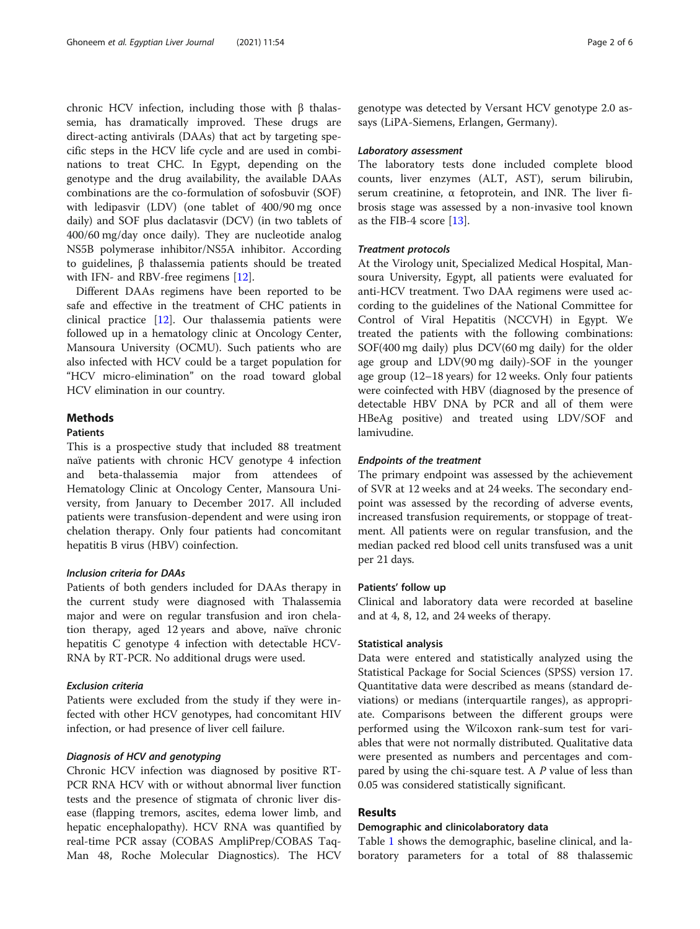chronic HCV infection, including those with β thalassemia, has dramatically improved. These drugs are direct-acting antivirals (DAAs) that act by targeting specific steps in the HCV life cycle and are used in combinations to treat CHC. In Egypt, depending on the genotype and the drug availability, the available DAAs combinations are the co-formulation of sofosbuvir (SOF) with ledipasvir (LDV) (one tablet of 400/90 mg once daily) and SOF plus daclatasvir (DCV) (in two tablets of 400/60 mg/day once daily). They are nucleotide analog NS5B polymerase inhibitor/NS5A inhibitor. According to guidelines, β thalassemia patients should be treated with IFN- and RBV-free regimens [[12](#page-5-0)].

Different DAAs regimens have been reported to be safe and effective in the treatment of CHC patients in clinical practice [\[12\]](#page-5-0). Our thalassemia patients were followed up in a hematology clinic at Oncology Center, Mansoura University (OCMU). Such patients who are also infected with HCV could be a target population for "HCV micro-elimination" on the road toward global HCV elimination in our country.

# Methods

# **Patients**

This is a prospective study that included 88 treatment naïve patients with chronic HCV genotype 4 infection and beta-thalassemia major from attendees of Hematology Clinic at Oncology Center, Mansoura University, from January to December 2017. All included patients were transfusion-dependent and were using iron chelation therapy. Only four patients had concomitant hepatitis B virus (HBV) coinfection.

#### Inclusion criteria for DAAs

Patients of both genders included for DAAs therapy in the current study were diagnosed with Thalassemia major and were on regular transfusion and iron chelation therapy, aged 12 years and above, naïve chronic hepatitis C genotype 4 infection with detectable HCV-RNA by RT-PCR. No additional drugs were used.

## Exclusion criteria

Patients were excluded from the study if they were infected with other HCV genotypes, had concomitant HIV infection, or had presence of liver cell failure.

# Diagnosis of HCV and genotyping

Chronic HCV infection was diagnosed by positive RT-PCR RNA HCV with or without abnormal liver function tests and the presence of stigmata of chronic liver disease (flapping tremors, ascites, edema lower limb, and hepatic encephalopathy). HCV RNA was quantified by real-time PCR assay (COBAS AmpliPrep/COBAS Taq-Man 48, Roche Molecular Diagnostics). The HCV genotype was detected by Versant HCV genotype 2.0 assays (LiPA-Siemens, Erlangen, Germany).

# Laboratory assessment

The laboratory tests done included complete blood counts, liver enzymes (ALT, AST), serum bilirubin, serum creatinine, α fetoprotein, and INR. The liver fibrosis stage was assessed by a non-invasive tool known as the FIB-4 score [[13\]](#page-5-0).

## Treatment protocols

At the Virology unit, Specialized Medical Hospital, Mansoura University, Egypt, all patients were evaluated for anti-HCV treatment. Two DAA regimens were used according to the guidelines of the National Committee for Control of Viral Hepatitis (NCCVH) in Egypt. We treated the patients with the following combinations: SOF(400 mg daily) plus DCV(60 mg daily) for the older age group and LDV(90 mg daily)-SOF in the younger age group (12–18 years) for 12 weeks. Only four patients were coinfected with HBV (diagnosed by the presence of detectable HBV DNA by PCR and all of them were HBeAg positive) and treated using LDV/SOF and lamivudine.

#### Endpoints of the treatment

The primary endpoint was assessed by the achievement of SVR at 12 weeks and at 24 weeks. The secondary endpoint was assessed by the recording of adverse events, increased transfusion requirements, or stoppage of treatment. All patients were on regular transfusion, and the median packed red blood cell units transfused was a unit per 21 days.

# Patients' follow up

Clinical and laboratory data were recorded at baseline and at 4, 8, 12, and 24 weeks of therapy.

## Statistical analysis

Data were entered and statistically analyzed using the Statistical Package for Social Sciences (SPSS) version 17. Quantitative data were described as means (standard deviations) or medians (interquartile ranges), as appropriate. Comparisons between the different groups were performed using the Wilcoxon rank-sum test for variables that were not normally distributed. Qualitative data were presented as numbers and percentages and compared by using the chi-square test. A P value of less than 0.05 was considered statistically significant.

#### Results

## Demographic and clinicolaboratory data

Table [1](#page-2-0) shows the demographic, baseline clinical, and laboratory parameters for a total of 88 thalassemic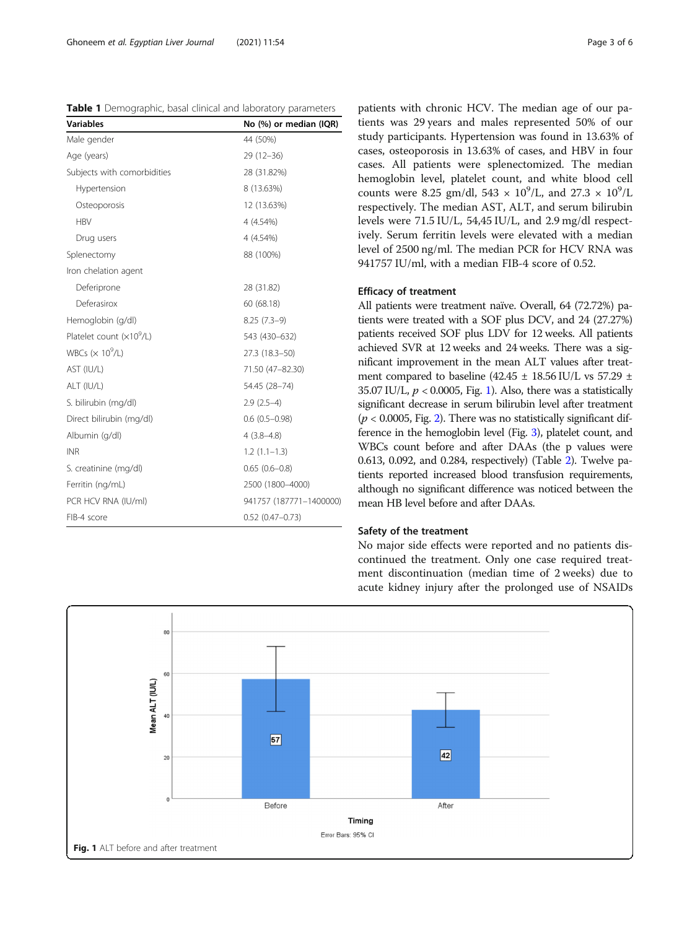<span id="page-2-0"></span>Table 1 Demographic, basal clinical and laboratory parameters

| <b>Variables</b><br>No (%) or median (IQR) |                         |  |  |
|--------------------------------------------|-------------------------|--|--|
| Male gender                                | 44 (50%)                |  |  |
| Age (years)                                | $29(12-36)$             |  |  |
| Subjects with comorbidities                | 28 (31.82%)             |  |  |
| Hypertension                               | 8 (13.63%)              |  |  |
| Osteoporosis                               | 12 (13.63%)             |  |  |
| <b>HBV</b>                                 | 4 (4.54%)               |  |  |
| Drug users                                 | 4 (4.54%)               |  |  |
| Splenectomy                                | 88 (100%)               |  |  |
| Iron chelation agent                       |                         |  |  |
| Deferiprone                                | 28 (31.82)              |  |  |
| Deferasirox                                | 60 (68.18)              |  |  |
| Hemoglobin (g/dl)                          | $8.25(7.3-9)$           |  |  |
| Platelet count $(x109/L)$                  | 543 (430-632)           |  |  |
| WBCs $(x 10^9/L)$                          | 27.3 (18.3-50)          |  |  |
| AST (IU/L)                                 | 71.50 (47-82.30)        |  |  |
| ALT (IU/L)                                 | 54.45 (28-74)           |  |  |
| S. bilirubin (mg/dl)                       | $2.9(2.5-4)$            |  |  |
| Direct bilirubin (mg/dl)                   | $0.6$ (0.5-0.98)        |  |  |
| Albumin (g/dl)                             | $4(3.8-4.8)$            |  |  |
| <b>INR</b>                                 | $1.2(1.1-1.3)$          |  |  |
| S. creatinine (mg/dl)                      | $0.65(0.6-0.8)$         |  |  |
| Ferritin (ng/mL)                           | 2500 (1800-4000)        |  |  |
| PCR HCV RNA (IU/ml)                        | 941757 (187771-1400000) |  |  |
| FIB-4 score                                | $0.52$ (0.47-0.73)      |  |  |

patients with chronic HCV. The median age of our patients was 29 years and males represented 50% of our study participants. Hypertension was found in 13.63% of cases, osteoporosis in 13.63% of cases, and HBV in four cases. All patients were splenectomized. The median hemoglobin level, platelet count, and white blood cell counts were 8.25 gm/dl,  $543 \times 10^9$ /L, and  $27.3 \times 10^9$ /L respectively. The median AST, ALT, and serum bilirubin levels were 71.5 IU/L, 54,45 IU/L, and 2.9 mg/dl respectively. Serum ferritin levels were elevated with a median level of 2500 ng/ml. The median PCR for HCV RNA was 941757 IU/ml, with a median FIB-4 score of 0.52.

# Efficacy of treatment

All patients were treatment naïve. Overall, 64 (72.72%) patients were treated with a SOF plus DCV, and 24 (27.27%) patients received SOF plus LDV for 12 weeks. All patients achieved SVR at 12 weeks and 24 weeks. There was a significant improvement in the mean ALT values after treatment compared to baseline (42.45  $\pm$  18.56 IU/L vs 57.29  $\pm$ 35.07 IU/L,  $p < 0.0005$ , Fig. 1). Also, there was a statistically significant decrease in serum bilirubin level after treatment  $(p < 0.0005$ , Fig. [2](#page-3-0)). There was no statistically significant difference in the hemoglobin level (Fig. [3\)](#page-3-0), platelet count, and WBCs count before and after DAAs (the p values were 0.613, 0.092, and 0.284, respectively) (Table [2\)](#page-4-0). Twelve patients reported increased blood transfusion requirements, although no significant difference was noticed between the mean HB level before and after DAAs.

# Safety of the treatment

No major side effects were reported and no patients discontinued the treatment. Only one case required treatment discontinuation (median time of 2 weeks) due to acute kidney injury after the prolonged use of NSAIDs

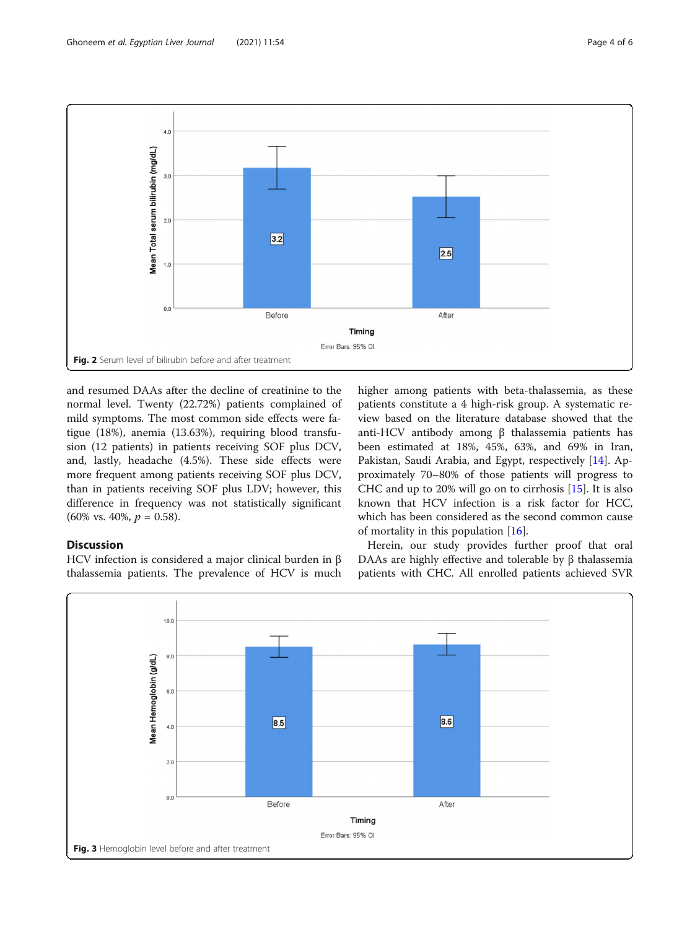<span id="page-3-0"></span>

and resumed DAAs after the decline of creatinine to the normal level. Twenty (22.72%) patients complained of mild symptoms. The most common side effects were fatigue (18%), anemia (13.63%), requiring blood transfusion (12 patients) in patients receiving SOF plus DCV, and, lastly, headache (4.5%). These side effects were more frequent among patients receiving SOF plus DCV, than in patients receiving SOF plus LDV; however, this difference in frequency was not statistically significant  $(60\% \text{ vs. } 40\%, p = 0.58).$ 

# higher among patients with beta-thalassemia, as these patients constitute a 4 high-risk group. A systematic review based on the literature database showed that the anti-HCV antibody among β thalassemia patients has been estimated at 18%, 45%, 63%, and 69% in Iran, Pakistan, Saudi Arabia, and Egypt, respectively [\[14](#page-5-0)]. Approximately 70–80% of those patients will progress to CHC and up to 20% will go on to cirrhosis [\[15](#page-5-0)]. It is also known that HCV infection is a risk factor for HCC, which has been considered as the second common cause of mortality in this population [[16](#page-5-0)].

# **Discussion**

HCV infection is considered a major clinical burden in β thalassemia patients. The prevalence of HCV is much

Herein, our study provides further proof that oral DAAs are highly effective and tolerable by β thalassemia patients with CHC. All enrolled patients achieved SVR

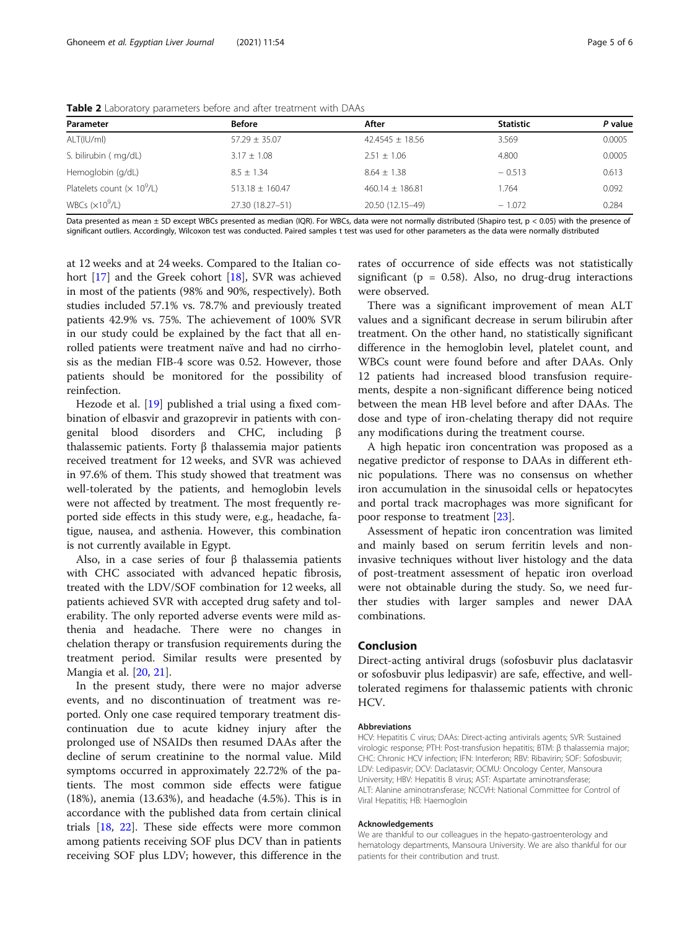| Parameter                    | <b>Before</b>       | After               | <b>Statistic</b> | P value |
|------------------------------|---------------------|---------------------|------------------|---------|
| ALT(IU/ml)                   | $57.29 \pm 35.07$   | $42.4545 \pm 18.56$ | 3.569            | 0.0005  |
| S. bilirubin (mg/dL)         | $3.17 \pm 1.08$     | $2.51 \pm 1.06$     | 4.800            | 0.0005  |
| Hemoglobin (g/dL)            | $8.5 + 1.34$        | $8.64 \pm 1.38$     | $-0.513$         | 0.613   |
| Platelets count $(x 10^9/L)$ | $513.18 \pm 160.47$ | $460.14 \pm 186.81$ | 1.764            | 0.092   |
| WBCs $(x10^9/L)$             | 27.30 (18.27-51)    | 20.50 (12.15-49)    | $-1.072$         | 0.284   |

<span id="page-4-0"></span>Table 2 Laboratory parameters before and after treatment with DAAs

Data presented as mean ± SD except WBCs presented as median (IQR). For WBCs, data were not normally distributed (Shapiro test, p < 0.05) with the presence of significant outliers. Accordingly, Wilcoxon test was conducted. Paired samples t test was used for other parameters as the data were normally distributed

at 12 weeks and at 24 weeks. Compared to the Italian cohort [[17\]](#page-5-0) and the Greek cohort [[18\]](#page-5-0), SVR was achieved in most of the patients (98% and 90%, respectively). Both studies included 57.1% vs. 78.7% and previously treated patients 42.9% vs. 75%. The achievement of 100% SVR in our study could be explained by the fact that all enrolled patients were treatment naïve and had no cirrhosis as the median FIB-4 score was 0.52. However, those patients should be monitored for the possibility of reinfection.

Hezode et al. [[19\]](#page-5-0) published a trial using a fixed combination of elbasvir and grazoprevir in patients with congenital blood disorders and CHC, including β thalassemic patients. Forty β thalassemia major patients received treatment for 12 weeks, and SVR was achieved in 97.6% of them. This study showed that treatment was well-tolerated by the patients, and hemoglobin levels were not affected by treatment. The most frequently reported side effects in this study were, e.g., headache, fatigue, nausea, and asthenia. However, this combination is not currently available in Egypt.

Also, in a case series of four β thalassemia patients with CHC associated with advanced hepatic fibrosis, treated with the LDV/SOF combination for 12 weeks, all patients achieved SVR with accepted drug safety and tolerability. The only reported adverse events were mild asthenia and headache. There were no changes in chelation therapy or transfusion requirements during the treatment period. Similar results were presented by Mangia et al. [[20,](#page-5-0) [21\]](#page-5-0).

In the present study, there were no major adverse events, and no discontinuation of treatment was reported. Only one case required temporary treatment discontinuation due to acute kidney injury after the prolonged use of NSAIDs then resumed DAAs after the decline of serum creatinine to the normal value. Mild symptoms occurred in approximately 22.72% of the patients. The most common side effects were fatigue (18%), anemia (13.63%), and headache (4.5%). This is in accordance with the published data from certain clinical trials [\[18,](#page-5-0) [22\]](#page-5-0). These side effects were more common among patients receiving SOF plus DCV than in patients receiving SOF plus LDV; however, this difference in the

rates of occurrence of side effects was not statistically significant ( $p = 0.58$ ). Also, no drug-drug interactions were observed.

There was a significant improvement of mean ALT values and a significant decrease in serum bilirubin after treatment. On the other hand, no statistically significant difference in the hemoglobin level, platelet count, and WBCs count were found before and after DAAs. Only 12 patients had increased blood transfusion requirements, despite a non-significant difference being noticed between the mean HB level before and after DAAs. The dose and type of iron-chelating therapy did not require any modifications during the treatment course.

A high hepatic iron concentration was proposed as a negative predictor of response to DAAs in different ethnic populations. There was no consensus on whether iron accumulation in the sinusoidal cells or hepatocytes and portal track macrophages was more significant for poor response to treatment [[23\]](#page-5-0).

Assessment of hepatic iron concentration was limited and mainly based on serum ferritin levels and noninvasive techniques without liver histology and the data of post-treatment assessment of hepatic iron overload were not obtainable during the study. So, we need further studies with larger samples and newer DAA combinations.

# Conclusion

Direct-acting antiviral drugs (sofosbuvir plus daclatasvir or sofosbuvir plus ledipasvir) are safe, effective, and welltolerated regimens for thalassemic patients with chronic HCV.

#### Abbreviations

HCV: Hepatitis C virus; DAAs: Direct-acting antivirals agents; SVR: Sustained virologic response; PTH: Post-transfusion hepatitis; BTM: β thalassemia major; CHC: Chronic HCV infection; IFN: Interferon; RBV: Ribavirin; SOF: Sofosbuvir; LDV: Ledipasvir; DCV: Daclatasvir; OCMU: Oncology Center, Mansoura University; HBV: Hepatitis B virus; AST: Aspartate aminotransferase; ALT: Alanine aminotransferase; NCCVH: National Committee for Control of Viral Hepatitis; HB: Haemogloin

#### Acknowledgements

We are thankful to our colleagues in the hepato-gastroenterology and hematology departments, Mansoura University. We are also thankful for our patients for their contribution and trust.